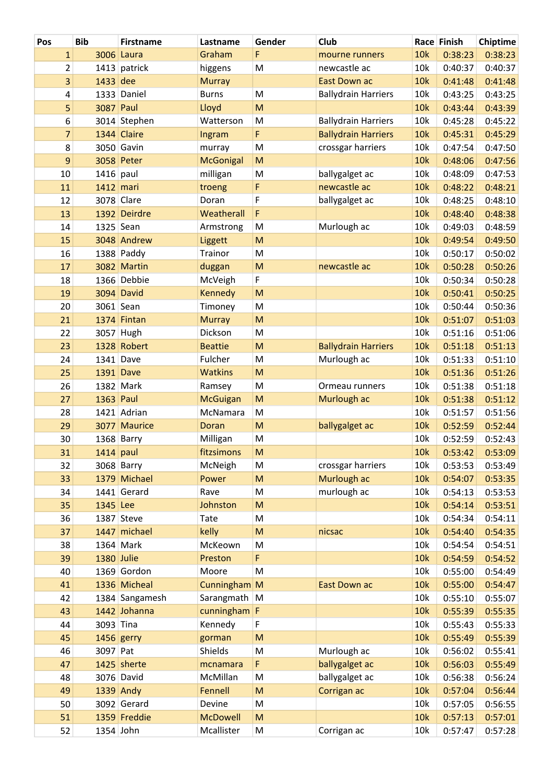| Pos                     | <b>Bib</b>        | <b>Firstname</b> | Lastname         | Gender                                                                                                     | Club                       |     | Race Finish | Chiptime |
|-------------------------|-------------------|------------------|------------------|------------------------------------------------------------------------------------------------------------|----------------------------|-----|-------------|----------|
| $\mathbf{1}$            |                   | 3006 Laura       | Graham           | F                                                                                                          | mourne runners             | 10k | 0:38:23     | 0:38:23  |
| $\overline{\mathbf{c}}$ |                   | 1413 patrick     | higgens          | M                                                                                                          | newcastle ac               | 10k | 0:40:37     | 0:40:37  |
| 3                       | 1433 dee          |                  | <b>Murray</b>    |                                                                                                            | <b>East Down ac</b>        | 10k | 0:41:48     | 0:41:48  |
| 4                       |                   | 1333 Daniel      | <b>Burns</b>     | M                                                                                                          | <b>Ballydrain Harriers</b> | 10k | 0:43:25     | 0:43:25  |
| 5                       | 3087 Paul         |                  | Lloyd            | M                                                                                                          |                            | 10k | 0:43:44     | 0:43:39  |
| 6                       |                   | 3014 Stephen     | Watterson        | M                                                                                                          | <b>Ballydrain Harriers</b> | 10k | 0:45:28     | 0:45:22  |
| $\overline{7}$          |                   | 1344 Claire      | Ingram           | $\mathsf F$                                                                                                | <b>Ballydrain Harriers</b> | 10k | 0:45:31     | 0:45:29  |
| 8                       |                   | 3050 Gavin       | murray           | M                                                                                                          | crossgar harriers          | 10k | 0:47:54     | 0:47:50  |
| 9                       |                   | 3058 Peter       | <b>McGonigal</b> | M                                                                                                          |                            | 10k | 0:48:06     | 0:47:56  |
| 10                      | $1416$ paul       |                  | milligan         | M                                                                                                          | ballygalget ac             | 10k | 0:48:09     | 0:47:53  |
| 11                      |                   | $1412$ mari      | troeng           | F                                                                                                          | newcastle ac               | 10k | 0:48:22     | 0:48:21  |
| 12                      |                   | 3078 Clare       | Doran            | F                                                                                                          | ballygalget ac             | 10k | 0:48:25     | 0:48:10  |
| 13                      |                   | 1392 Deirdre     | Weatherall       | $\mathsf F$                                                                                                |                            | 10k | 0:48:40     | 0:48:38  |
| 14                      |                   | 1325 Sean        | Armstrong        | M                                                                                                          | Murlough ac                | 10k | 0:49:03     | 0:48:59  |
| 15                      |                   | 3048 Andrew      | Liggett          | M                                                                                                          |                            | 10k | 0:49:54     | 0:49:50  |
| 16                      |                   | 1388 Paddy       | Trainor          | M                                                                                                          |                            | 10k | 0:50:17     | 0:50:02  |
| 17                      |                   | 3082 Martin      | duggan           | ${\sf M}$                                                                                                  | newcastle ac               | 10k | 0:50:28     | 0:50:26  |
| 18                      |                   | 1366 Debbie      | McVeigh          | F                                                                                                          |                            | 10k | 0:50:34     | 0:50:28  |
| 19                      |                   | 3094 David       | Kennedy          | $\mathsf{M}% _{T}=\mathsf{M}_{T}\!\left( a,b\right) ,\ \mathsf{M}_{T}=\mathsf{M}_{T}\!\left( a,b\right) ,$ |                            | 10k | 0:50:41     | 0:50:25  |
| 20                      |                   | 3061 Sean        | Timoney          | M                                                                                                          |                            | 10k | 0:50:44     | 0:50:36  |
| 21                      |                   | 1374 Fintan      | <b>Murray</b>    | M                                                                                                          |                            | 10k | 0:51:07     | 0:51:03  |
| 22                      |                   | 3057 Hugh        | Dickson          | M                                                                                                          |                            | 10k | 0:51:16     | 0:51:06  |
| 23                      |                   | 1328 Robert      | <b>Beattie</b>   | M                                                                                                          | <b>Ballydrain Harriers</b> | 10k | 0:51:18     | 0:51:13  |
| 24                      |                   | $1341$ Dave      | Fulcher          | M                                                                                                          | Murlough ac                | 10k | 0:51:33     | 0:51:10  |
| 25                      |                   | $1391$ Dave      | <b>Watkins</b>   | M                                                                                                          |                            | 10k | 0:51:36     | 0:51:26  |
| 26                      |                   | 1382 Mark        | Ramsey           | M                                                                                                          | Ormeau runners             | 10k | 0:51:38     | 0:51:18  |
| 27                      | <b>1363 Paul</b>  |                  | <b>McGuigan</b>  | ${\sf M}$                                                                                                  | Murlough ac                | 10k | 0:51:38     | 0:51:12  |
| 28                      |                   | 1421 Adrian      | McNamara         | M                                                                                                          |                            | 10k | 0:51:57     | 0:51:56  |
| 29                      |                   | 3077 Maurice     | Doran            | ${\sf M}$                                                                                                  | ballygalget ac             | 10k | 0:52:59     | 0:52:44  |
| 30                      |                   | 1368 Barry       | Milligan         | M                                                                                                          |                            | 10k | 0:52:59     | 0:52:43  |
| 31                      |                   | $1414$ paul      | fitzsimons       | M                                                                                                          |                            | 10k | 0:53:42     | 0:53:09  |
| 32                      |                   | 3068 Barry       | McNeigh          | M                                                                                                          | crossgar harriers          | 10k | 0:53:53     | 0:53:49  |
| 33                      |                   | 1379 Michael     | Power            | M                                                                                                          | Murlough ac                | 10k | 0:54:07     | 0:53:35  |
| 34                      |                   | 1441 Gerard      | Rave             | M                                                                                                          | murlough ac                | 10k | 0:54:13     | 0:53:53  |
| 35                      | 1345 Lee          |                  | Johnston         | M                                                                                                          |                            | 10k | 0:54:14     | 0:53:51  |
| 36                      |                   | 1387 Steve       | Tate             | ${\sf M}$                                                                                                  |                            | 10k | 0:54:34     | 0:54:11  |
| 37                      |                   | 1447 michael     | kelly            | ${\sf M}$                                                                                                  | nicsac                     | 10k | 0:54:40     | 0:54:35  |
| 38                      |                   | 1364 Mark        | McKeown          | M                                                                                                          |                            | 10k | 0:54:54     | 0:54:51  |
| 39                      | <b>1380 Julie</b> |                  | Preston          | F                                                                                                          |                            | 10k | 0:54:59     | 0:54:52  |
| 40                      |                   | 1369 Gordon      | Moore            | M                                                                                                          |                            | 10k | 0:55:00     | 0:54:49  |
| 41                      |                   | 1336 Micheal     | Cunningham M     |                                                                                                            | <b>East Down ac</b>        | 10k | 0:55:00     | 0:54:47  |
| 42                      |                   | 1384 Sangamesh   | Sarangmath   M   |                                                                                                            |                            | 10k | 0:55:10     | 0:55:07  |
| 43                      |                   | 1442 Johanna     | cunningham F     |                                                                                                            |                            | 10k | 0:55:39     | 0:55:35  |
| 44                      | 3093 Tina         |                  | Kennedy          | F                                                                                                          |                            | 10k | 0:55:43     | 0:55:33  |
| 45                      |                   | 1456 gerry       | gorman           | ${\sf M}$                                                                                                  |                            | 10k | 0:55:49     | 0:55:39  |
| 46                      | 3097 Pat          |                  | Shields          | ${\sf M}$                                                                                                  | Murlough ac                | 10k | 0:56:02     | 0:55:41  |
| 47                      |                   | 1425 sherte      | mcnamara         | F                                                                                                          | ballygalget ac             | 10k | 0:56:03     | 0:55:49  |
| 48                      |                   | 3076 David       | McMillan         | M                                                                                                          | ballygalget ac             | 10k | 0:56:38     | 0:56:24  |
| 49                      |                   | 1339 Andy        | Fennell          | M                                                                                                          | Corrigan ac                | 10k | 0:57:04     | 0:56:44  |
| 50                      |                   | 3092 Gerard      | Devine           | M                                                                                                          |                            | 10k | 0:57:05     | 0:56:55  |
| 51                      |                   | 1359 Freddie     | <b>McDowell</b>  | M                                                                                                          |                            | 10k | 0:57:13     | 0:57:01  |
| 52                      | 1354 John         |                  | Mcallister       | M                                                                                                          | Corrigan ac                | 10k | 0:57:47     | 0:57:28  |
|                         |                   |                  |                  |                                                                                                            |                            |     |             |          |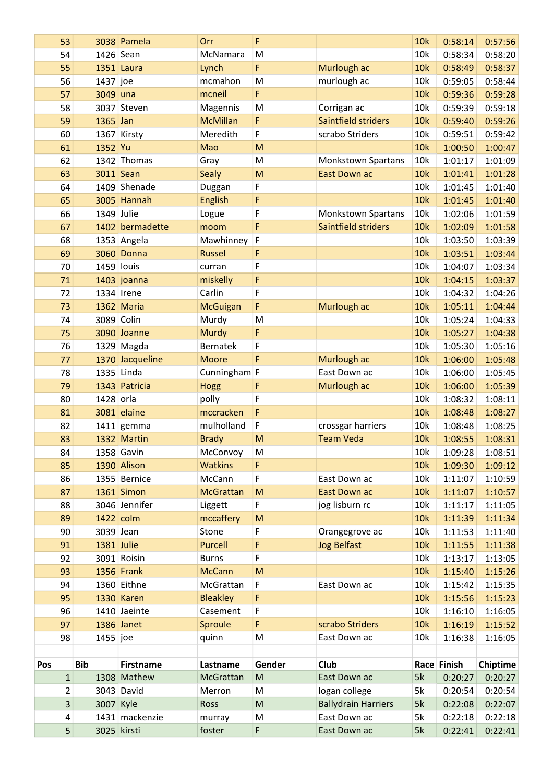|     | 53          |            | 3038 Pamela       | Orr              | F                                                                                                          |                            | 10k | 0:58:14     | 0:57:56  |
|-----|-------------|------------|-------------------|------------------|------------------------------------------------------------------------------------------------------------|----------------------------|-----|-------------|----------|
|     | 54          | 1426 Sean  |                   | McNamara         | M                                                                                                          |                            | 10k | 0:58:34     | 0:58:20  |
|     | 55          |            | 1351 Laura        | Lynch            | F                                                                                                          | Murlough ac                | 10k | 0:58:49     | 0:58:37  |
|     | 56          | 1437 joe   |                   | mcmahon          | M                                                                                                          | murlough ac                | 10k | 0:59:05     | 0:58:44  |
|     | 57          | 3049 una   |                   | mcneil           | F                                                                                                          |                            | 10k | 0:59:36     | 0:59:28  |
|     | 58          |            | 3037 Steven       | Magennis         | M                                                                                                          | Corrigan ac                | 10k | 0:59:39     | 0:59:18  |
|     | 59          | 1365 Jan   |                   | <b>McMillan</b>  | F                                                                                                          | Saintfield striders        | 10k | 0:59:40     | 0:59:26  |
|     | 60          |            | 1367 Kirsty       | Meredith         | F                                                                                                          | scrabo Striders            | 10k | 0:59:51     | 0:59:42  |
|     | 61          | 1352 Yu    |                   | Mao              | M                                                                                                          |                            | 10k | 1:00:50     | 1:00:47  |
|     | 62          |            | 1342 Thomas       | Gray             | ${\sf M}$                                                                                                  | <b>Monkstown Spartans</b>  | 10k | 1:01:17     | 1:01:09  |
|     | 63          |            | 3011 Sean         | <b>Sealy</b>     | M                                                                                                          | East Down ac               | 10k | 1:01:41     | 1:01:28  |
|     | 64          |            | 1409 Shenade      | Duggan           | $\mathsf F$                                                                                                |                            | 10k | 1:01:45     | 1:01:40  |
|     | 65          |            | 3005 Hannah       | <b>English</b>   | F                                                                                                          |                            | 10k | 1:01:45     | 1:01:40  |
|     | 66          | 1349 Julie |                   | Logue            | F                                                                                                          | <b>Monkstown Spartans</b>  | 10k | 1:02:06     | 1:01:59  |
|     | 67          |            | 1402 bermadette   | moom             | F                                                                                                          | Saintfield striders        | 10k | 1:02:09     | 1:01:58  |
|     | 68          |            | 1353 Angela       | Mawhinney        | IF.                                                                                                        |                            | 10k | 1:03:50     | 1:03:39  |
|     | 69          |            | 3060 Donna        | <b>Russel</b>    | F                                                                                                          |                            | 10k | 1:03:51     | 1:03:44  |
|     | 70          | 1459 louis |                   | curran           | F                                                                                                          |                            | 10k | 1:04:07     | 1:03:34  |
|     | 71          |            | $1403$ joanna     | miskelly         | F                                                                                                          |                            | 10k | 1:04:15     | 1:03:37  |
|     | 72          |            | 1334 Irene        | Carlin           | $\mathsf F$                                                                                                |                            | 10k | 1:04:32     | 1:04:26  |
|     | 73          |            | 1362 Maria        | <b>McGuigan</b>  | $\mathsf F$                                                                                                | Murlough ac                | 10k | 1:05:11     | 1:04:44  |
|     | 74          |            | 3089 Colin        | Murdy            | M                                                                                                          |                            | 10k | 1:05:24     | 1:04:33  |
|     | 75          |            | 3090 Joanne       | <b>Murdy</b>     | F                                                                                                          |                            | 10k | 1:05:27     | 1:04:38  |
|     | 76          |            | $1329$ Magda      | Bernatek         | $\mathsf F$                                                                                                |                            | 10k | 1:05:30     | 1:05:16  |
|     | 77          |            | 1370 Jacqueline   | <b>Moore</b>     | F                                                                                                          | Murlough ac                | 10k | 1:06:00     | 1:05:48  |
|     | 78          |            | 1335 Linda        | Cunningham F     |                                                                                                            | East Down ac               | 10k | 1:06:00     | 1:05:45  |
|     | 79          |            | 1343 Patricia     | <b>Hogg</b>      | F                                                                                                          | Murlough ac                | 10k | 1:06:00     | 1:05:39  |
|     | 80          | 1428 orla  |                   | polly            | $\mathsf F$                                                                                                |                            | 10k | 1:08:32     | 1:08:11  |
|     | 81          |            | 3081 elaine       | mccracken        | F                                                                                                          |                            | 10k | 1:08:48     | 1:08:27  |
|     | 82          |            | $1411$ gemma      | mulholland       | F                                                                                                          | crossgar harriers          | 10k | 1:08:48     | 1:08:25  |
|     | 83          |            | 1332 Martin       | <b>Brady</b>     | M                                                                                                          | <b>Team Veda</b>           | 10k | 1:08:55     | 1:08:31  |
|     | 84          |            | $1358$ Gavin      | McConvoy         | ${\sf M}$                                                                                                  |                            | 10k | 1:09:28     | 1:08:51  |
|     | 85          |            | 1390 Alison       | <b>Watkins</b>   | F                                                                                                          |                            | 10k | 1:09:30     | 1:09:12  |
|     | 86          |            | 1355 Bernice      | McCann           | F                                                                                                          | East Down ac               | 10k | 1:11:07     | 1:10:59  |
|     | 87          |            | 1361 Simon        | <b>McGrattan</b> | $\mathsf{M}% _{T}=\mathsf{M}_{T}\!\left( a,b\right) ,\ \mathsf{M}_{T}=\mathsf{M}_{T}\!\left( a,b\right) ,$ | <b>East Down ac</b>        | 10k | 1:11:07     | 1:10:57  |
|     | 88          |            | 3046 Jennifer     | Liggett          | F                                                                                                          | jog lisburn rc             | 10k | 1:11:17     | 1:11:05  |
|     | 89          |            | $1422$ colm       | mccaffery        | M                                                                                                          |                            | 10k | 1:11:39     | 1:11:34  |
|     | 90          | 3039 Jean  |                   | Stone            | F                                                                                                          | Orangegrove ac             | 10k | 1:11:53     | 1:11:40  |
|     | 91          |            | 1381 Julie        | <b>Purcell</b>   | F                                                                                                          | <b>Jog Belfast</b>         | 10k | 1:11:55     | 1:11:38  |
|     | 92          |            | 3091 Roisin       | <b>Burns</b>     | F                                                                                                          |                            | 10k | 1:13:17     | 1:13:05  |
|     | 93          |            | 1356 Frank        | <b>McCann</b>    | M                                                                                                          |                            | 10k | 1:15:40     | 1:15:26  |
|     | 94          |            | 1360 Eithne       | McGrattan        | $\mathsf F$                                                                                                | East Down ac               | 10k | 1:15:42     | 1:15:35  |
|     | 95          |            | <b>1330 Karen</b> | <b>Bleakley</b>  | F                                                                                                          |                            | 10k | 1:15:56     | 1:15:23  |
|     | 96          |            | 1410 Jaeinte      | Casement         | F                                                                                                          |                            | 10k | 1:16:10     | 1:16:05  |
|     | 97          |            | 1386 Janet        | Sproule          | F                                                                                                          | scrabo Striders            | 10k | 1:16:19     | 1:15:52  |
|     | 98          | $1455$ joe |                   | quinn            | M                                                                                                          | East Down ac               | 10k | 1:16:38     | 1:16:05  |
|     |             |            |                   |                  |                                                                                                            |                            |     |             |          |
| Pos |             | <b>Bib</b> | <b>Firstname</b>  | Lastname         | Gender                                                                                                     | <b>Club</b>                |     | Race Finish | Chiptime |
|     | $\mathbf 1$ |            | 1308 Mathew       | McGrattan        | ${\sf M}$                                                                                                  | East Down ac               | 5k  | 0:20:27     | 0:20:27  |
|     | 2           |            | 3043 David        | Merron           | M                                                                                                          | logan college              | 5k  | 0:20:54     | 0:20:54  |
|     | 3           | 3007 Kyle  |                   | Ross             | ${\sf M}$                                                                                                  | <b>Ballydrain Harriers</b> | 5k  | 0:22:08     | 0:22:07  |
|     | 4           |            | 1431 mackenzie    | murray           | M                                                                                                          | East Down ac               | 5k  | 0:22:18     | 0:22:18  |
|     | 5           |            | 3025 kirsti       | foster           | F                                                                                                          | East Down ac               | 5k  | 0:22:41     | 0:22:41  |
|     |             |            |                   |                  |                                                                                                            |                            |     |             |          |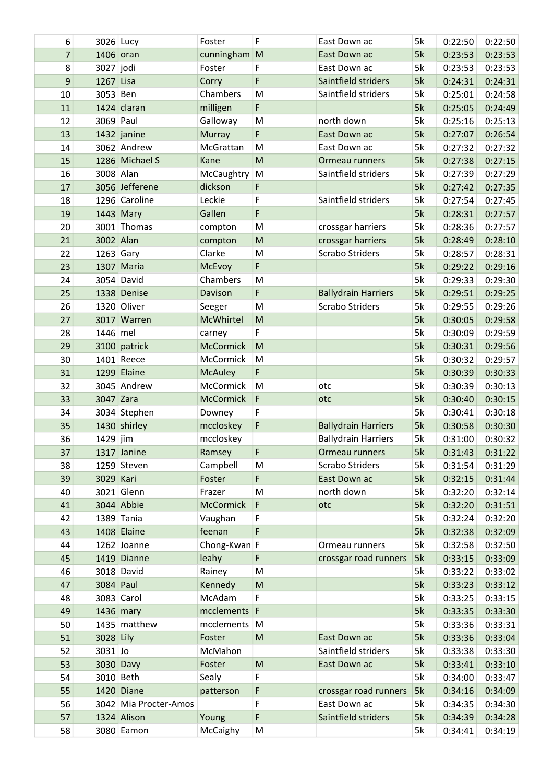| 6  | 3026 Lucy   |                       | Foster           | F           | East Down ac               | 5k | 0:22:50 | 0:22:50 |
|----|-------------|-----------------------|------------------|-------------|----------------------------|----|---------|---------|
| 7  | 1406 oran   |                       | cunningham M     |             | East Down ac               | 5k | 0:23:53 | 0:23:53 |
| 8  | 3027 jodi   |                       | Foster           | $\mathsf F$ | East Down ac               | 5k | 0:23:53 | 0:23:53 |
| 9  | 1267 Lisa   |                       | Corry            | $\mathsf F$ | Saintfield striders        | 5k | 0:24:31 | 0:24:31 |
| 10 | 3053 Ben    |                       | Chambers         | M           | Saintfield striders        | 5k | 0:25:01 | 0:24:58 |
| 11 |             | 1424 claran           | milligen         | F           |                            | 5k | 0:25:05 | 0:24:49 |
| 12 | 3069 Paul   |                       | Galloway         | M           | north down                 | 5k | 0:25:16 | 0:25:13 |
| 13 |             | 1432 janine           | Murray           | F           | East Down ac               | 5k | 0:27:07 | 0:26:54 |
| 14 |             | 3062 Andrew           | McGrattan        | M           | East Down ac               | 5k | 0:27:32 | 0:27:32 |
| 15 |             | 1286 Michael S        | Kane             | M           | Ormeau runners             | 5k | 0:27:38 | 0:27:15 |
| 16 | 3008 Alan   |                       | McCaughtry       | M           | Saintfield striders        | 5k | 0:27:39 | 0:27:29 |
| 17 |             | 3056 Jefferene        | dickson          | F           |                            | 5k | 0:27:42 | 0:27:35 |
| 18 |             | 1296 Caroline         | Leckie           | F           | Saintfield striders        | 5k | 0:27:54 | 0:27:45 |
| 19 |             | 1443 Mary             | Gallen           | F           |                            | 5k | 0:28:31 | 0:27:57 |
| 20 |             | 3001 Thomas           | compton          | M           | crossgar harriers          | 5k | 0:28:36 | 0:27:57 |
| 21 | 3002 Alan   |                       | compton          | M           | crossgar harriers          | 5k | 0:28:49 | 0:28:10 |
| 22 | $1263$ Gary |                       | Clarke           | M           | <b>Scrabo Striders</b>     | 5k | 0:28:57 | 0:28:31 |
| 23 |             | 1307 Maria            | McEvoy           | $\mathsf F$ |                            | 5k | 0:29:22 | 0:29:16 |
| 24 |             | 3054 David            | Chambers         | M           |                            | 5k | 0:29:33 | 0:29:30 |
| 25 |             | 1338 Denise           | Davison          | F           | <b>Ballydrain Harriers</b> | 5k | 0:29:51 | 0:29:25 |
| 26 |             | 1320 Oliver           | Seeger           | M           | Scrabo Striders            | 5k | 0:29:55 | 0:29:26 |
| 27 |             | 3017 Warren           | McWhirtel        | M           |                            | 5k | 0:30:05 | 0:29:58 |
| 28 | 1446 mel    |                       | carney           | F           |                            | 5k | 0:30:09 | 0:29:59 |
| 29 |             | 3100 patrick          | <b>McCormick</b> | M           |                            | 5k | 0:30:31 | 0:29:56 |
| 30 |             | 1401 Reece            | McCormick        | M           |                            | 5k | 0:30:32 | 0:29:57 |
| 31 |             | 1299 Elaine           | <b>McAuley</b>   | F           |                            | 5k | 0:30:39 | 0:30:33 |
| 32 |             | 3045 Andrew           | McCormick        | M           | otc                        | 5k | 0:30:39 | 0:30:13 |
| 33 | 3047 Zara   |                       | <b>McCormick</b> | F           | otc                        | 5k | 0:30:40 | 0:30:15 |
| 34 |             | 3034 Stephen          | Downey           | F           |                            | 5k | 0:30:41 | 0:30:18 |
| 35 |             | 1430 shirley          | mccloskey        | $\mathsf F$ | <b>Ballydrain Harriers</b> | 5k | 0:30:58 | 0:30:30 |
| 36 | 1429 jim    |                       | mccloskey        |             | <b>Ballydrain Harriers</b> | 5k | 0:31:00 | 0:30:32 |
| 37 |             | 1317 Janine           | Ramsey           | F           | Ormeau runners             | 5k | 0:31:43 | 0:31:22 |
| 38 |             | 1259 Steven           | Campbell         | M           | <b>Scrabo Striders</b>     | 5k | 0:31:54 | 0:31:29 |
| 39 | 3029 Kari   |                       | Foster           | F           | East Down ac               | 5k | 0:32:15 | 0:31:44 |
| 40 |             | 3021 Glenn            | Frazer           | M           | north down                 | 5k | 0:32:20 | 0:32:14 |
| 41 |             | 3044 Abbie            | <b>McCormick</b> | $\mathsf F$ | otc                        | 5k | 0:32:20 | 0:31:51 |
| 42 |             | 1389 Tania            | Vaughan          | F           |                            | 5k | 0:32:24 | 0:32:20 |
| 43 |             | 1408 Elaine           | feenan           | F           |                            | 5k | 0:32:38 | 0:32:09 |
| 44 |             | 1262 Joanne           | Chong-Kwan F     |             | Ormeau runners             | 5k | 0:32:58 | 0:32:50 |
| 45 |             | 1419 Dianne           | leahy            | F           | crossgar road runners      | 5k | 0:33:15 | 0:33:09 |
| 46 |             | 3018 David            | Rainey           | M           |                            | 5k | 0:33:22 | 0:33:02 |
| 47 | 3084 Paul   |                       | Kennedy          | ${\sf M}$   |                            | 5k | 0:33:23 | 0:33:12 |
|    |             | 3083 Carol            | McAdam           | F           |                            | 5k |         |         |
| 48 |             |                       | mcclements F     |             |                            |    | 0:33:25 | 0:33:15 |
| 49 |             | 1436 mary             |                  |             |                            | 5k | 0:33:35 | 0:33:30 |
| 50 |             | 1435 matthew          | mcclements M     |             |                            | 5k | 0:33:36 | 0:33:31 |
| 51 | 3028 Lily   |                       | Foster           | M           | East Down ac               | 5k | 0:33:36 | 0:33:04 |
| 52 | 3031 Jo     |                       | McMahon          |             | Saintfield striders        | 5k | 0:33:38 | 0:33:30 |
| 53 |             | 3030 Davy             | Foster           | M           | East Down ac               | 5k | 0:33:41 | 0:33:10 |
| 54 | 3010 Beth   |                       | Sealy            | F           |                            | 5k | 0:34:00 | 0:33:47 |
| 55 |             | 1420 Diane            | patterson        | F           | crossgar road runners      | 5k | 0:34:16 | 0:34:09 |
| 56 |             | 3042 Mia Procter-Amos |                  | F           | East Down ac               | 5k | 0:34:35 | 0:34:30 |
| 57 |             | 1324 Alison           | Young            | F           | Saintfield striders        | 5k | 0:34:39 | 0:34:28 |
| 58 |             | 3080 Eamon            | McCaighy         | M           |                            | 5k | 0:34:41 | 0:34:19 |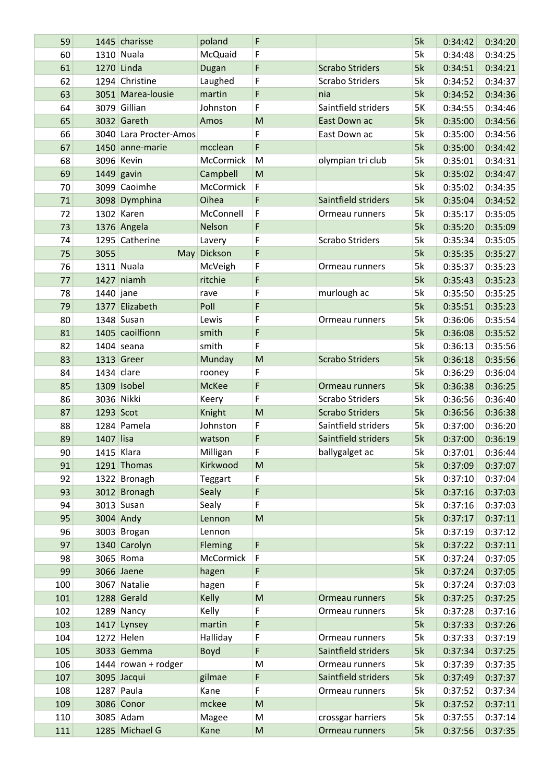| 59  |             | 1445 charisse          | poland               | F                                                                                                          |                        | 5k | 0:34:42 | 0:34:20 |
|-----|-------------|------------------------|----------------------|------------------------------------------------------------------------------------------------------------|------------------------|----|---------|---------|
| 60  |             | 1310 Nuala             | McQuaid              | F                                                                                                          |                        | 5k | 0:34:48 | 0:34:25 |
| 61  |             | 1270 Linda             | Dugan                | $\mathsf F$                                                                                                | <b>Scrabo Striders</b> | 5k | 0:34:51 | 0:34:21 |
| 62  |             | 1294 Christine         | Laughed              | F                                                                                                          | <b>Scrabo Striders</b> | 5k | 0:34:52 | 0:34:37 |
| 63  |             | 3051 Marea-lousie      | martin               | F                                                                                                          | nia                    | 5k | 0:34:52 | 0:34:36 |
| 64  |             | 3079 Gillian           | Johnston             | F                                                                                                          | Saintfield striders    | 5K | 0:34:55 | 0:34:46 |
| 65  |             | 3032 Gareth            | Amos                 | M                                                                                                          | East Down ac           | 5k | 0:35:00 | 0:34:56 |
| 66  |             | 3040 Lara Procter-Amos |                      | F                                                                                                          | East Down ac           | 5k | 0:35:00 | 0:34:56 |
| 67  |             | 1450 anne-marie        | mcclean              | F                                                                                                          |                        | 5k | 0:35:00 | 0:34:42 |
| 68  |             | 3096 Kevin             | McCormick            | M                                                                                                          | olympian tri club      | 5k | 0:35:01 | 0:34:31 |
| 69  |             | $1449$ gavin           | Campbell             | M                                                                                                          |                        | 5k | 0:35:02 | 0:34:47 |
| 70  |             | 3099 Caoimhe           | McCormick            | $\mathsf F$                                                                                                |                        | 5k | 0:35:02 | 0:34:35 |
| 71  |             | 3098 Dymphina          | Oihea                | F                                                                                                          | Saintfield striders    | 5k |         |         |
|     |             | 1302 Karen             |                      | $\mathsf F$                                                                                                |                        |    | 0:35:04 | 0:34:52 |
| 72  |             |                        | McConnell            |                                                                                                            | Ormeau runners         | 5k | 0:35:17 | 0:35:05 |
| 73  |             | 1376 Angela            | Nelson               | F                                                                                                          |                        | 5k | 0:35:20 | 0:35:09 |
| 74  |             | 1295 Catherine         | Lavery               | F                                                                                                          | <b>Scrabo Striders</b> | 5k | 0:35:34 | 0:35:05 |
| 75  | 3055        |                        | May Dickson          | F                                                                                                          |                        | 5k | 0:35:35 | 0:35:27 |
| 76  |             | 1311 Nuala             | McVeigh              | F                                                                                                          | Ormeau runners         | 5k | 0:35:37 | 0:35:23 |
| 77  |             | 1427 niamh             | ritchie              | F                                                                                                          |                        | 5k | 0:35:43 | 0:35:23 |
| 78  | $1440$ jane |                        | rave                 | F                                                                                                          | murlough ac            | 5k | 0:35:50 | 0:35:25 |
| 79  |             | 1377 Elizabeth         | Poll                 | F                                                                                                          |                        | 5k | 0:35:51 | 0:35:23 |
| 80  |             | $1348$ Susan           | Lewis                | F                                                                                                          | Ormeau runners         | 5k | 0:36:06 | 0:35:54 |
| 81  |             | 1405 caoilfionn        | smith                | F                                                                                                          |                        | 5k | 0:36:08 | 0:35:52 |
| 82  |             | $1404$ seana           | smith                | F                                                                                                          |                        | 5k | 0:36:13 | 0:35:56 |
| 83  |             | $1313$ Greer           | Munday               | M                                                                                                          | <b>Scrabo Striders</b> | 5k | 0:36:18 | 0:35:56 |
| 84  |             | $1434$ clare           | rooney               | F                                                                                                          |                        | 5k | 0:36:29 | 0:36:04 |
| 85  |             | 1309 Isobel            | <b>McKee</b>         | F                                                                                                          | Ormeau runners         | 5k | 0:36:38 | 0:36:25 |
| 86  |             | 3036 Nikki             | Keery                | F                                                                                                          | <b>Scrabo Striders</b> | 5k | 0:36:56 | 0:36:40 |
| 87  | 1293 Scot   |                        | Knight               | M                                                                                                          | <b>Scrabo Striders</b> | 5k | 0:36:56 | 0:36:38 |
| 88  |             | 1284 Pamela            | Johnston             | $\mathsf F$                                                                                                | Saintfield striders    | 5k | 0:37:00 | 0:36:20 |
| 89  | 1407 lisa   |                        | watson               | F                                                                                                          | Saintfield striders    | 5k | 0:37:00 | 0:36:19 |
| 90  |             | $1415$ Klara           | Milligan             | $\mathsf F$                                                                                                | ballygalget ac         | 5k | 0:37:01 | 0:36:44 |
| 91  |             | 1291 Thomas            | Kirkwood             | ${\sf M}$                                                                                                  |                        | 5k | 0:37:09 | 0:37:07 |
| 92  |             | 1322 Bronagh           | Teggart              | F                                                                                                          |                        | 5k | 0:37:10 | 0:37:04 |
| 93  |             | 3012 Bronagh           | Sealy                | F                                                                                                          |                        | 5k | 0:37:16 | 0:37:03 |
| 94  |             | $3013$ Susan           | Sealy                | F                                                                                                          |                        | 5k | 0:37:16 | 0:37:03 |
| 95  |             | 3004 Andy              | Lennon               | $\mathsf{M}% _{T}=\mathsf{M}_{T}\!\left( a,b\right) ,\ \mathsf{M}_{T}=\mathsf{M}_{T}\!\left( a,b\right) ,$ |                        | 5k | 0:37:17 | 0:37:11 |
| 96  |             | 3003 Brogan            | Lennon               |                                                                                                            |                        | 5k | 0:37:19 | 0:37:12 |
|     |             | 1340 Carolyn           |                      | $\mathsf F$                                                                                                |                        | 5k | 0:37:22 |         |
| 97  |             |                        | Fleming<br>McCormick | $\mathsf F$                                                                                                |                        | 5K |         | 0:37:11 |
| 98  |             | 3065 Roma              |                      |                                                                                                            |                        |    | 0:37:24 | 0:37:05 |
| 99  |             | 3066 Jaene             | hagen                | F                                                                                                          |                        | 5k | 0:37:24 | 0:37:05 |
| 100 |             | 3067 Natalie           | hagen                | F                                                                                                          |                        | 5k | 0:37:24 | 0:37:03 |
| 101 |             | 1288 Gerald            | Kelly                | ${\sf M}$                                                                                                  | Ormeau runners         | 5k | 0:37:25 | 0:37:25 |
| 102 |             | $1289$ Nancy           | Kelly                | F                                                                                                          | Ormeau runners         | 5k | 0:37:28 | 0:37:16 |
| 103 |             | 1417 Lynsey            | martin               | F                                                                                                          |                        | 5k | 0:37:33 | 0:37:26 |
| 104 |             | $1272$ Helen           | Halliday             | F                                                                                                          | Ormeau runners         | 5k | 0:37:33 | 0:37:19 |
| 105 |             | 3033 Gemma             | Boyd                 | $\mathsf F$                                                                                                | Saintfield striders    | 5k | 0:37:34 | 0:37:25 |
| 106 |             | $1444$ rowan + rodger  |                      | M                                                                                                          | Ormeau runners         | 5k | 0:37:39 | 0:37:35 |
| 107 |             | 3095 Jacqui            | gilmae               | F                                                                                                          | Saintfield striders    | 5k | 0:37:49 | 0:37:37 |
| 108 |             | 1287 Paula             | Kane                 | F                                                                                                          | Ormeau runners         | 5k | 0:37:52 | 0:37:34 |
| 109 |             | 3086 Conor             | mckee                | $\mathsf{M}% _{T}=\mathsf{M}_{T}\!\left( a,b\right) ,\ \mathsf{M}_{T}=\mathsf{M}_{T}\!\left( a,b\right) ,$ |                        | 5k | 0:37:52 | 0:37:11 |
| 110 |             | 3085 Adam              | Magee                | M                                                                                                          | crossgar harriers      | 5k | 0:37:55 | 0:37:14 |
| 111 |             | 1285 Michael G         | Kane                 | ${\sf M}$                                                                                                  | Ormeau runners         | 5k | 0:37:56 | 0:37:35 |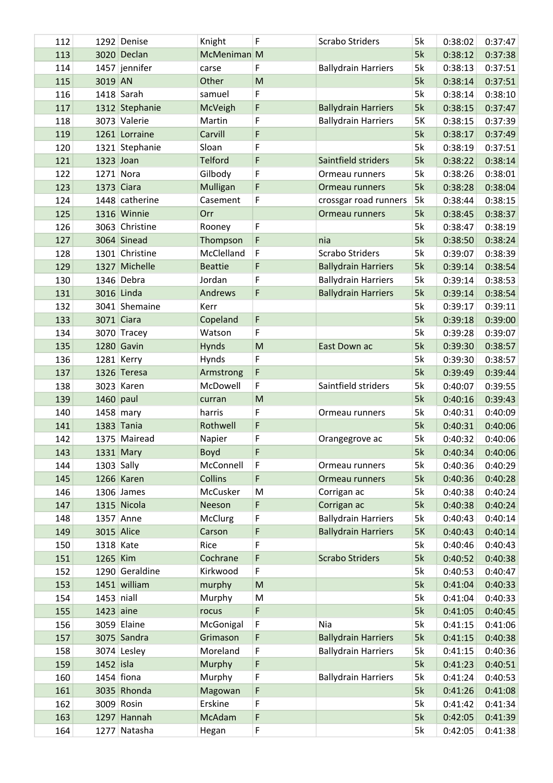| 112 |              | 1292 Denise    | Knight         | F | <b>Scrabo Striders</b>     | 5k | 0:38:02 | 0:37:47 |
|-----|--------------|----------------|----------------|---|----------------------------|----|---------|---------|
| 113 |              | 3020 Declan    | McMeniman M    |   |                            | 5k | 0:38:12 | 0:37:38 |
| 114 |              | 1457 jennifer  | carse          | F | <b>Ballydrain Harriers</b> | 5k | 0:38:13 | 0:37:51 |
| 115 | 3019 AN      |                | Other          | M |                            | 5k | 0:38:14 | 0:37:51 |
| 116 |              | $1418$ Sarah   | samuel         | F |                            | 5k | 0:38:14 | 0:38:10 |
| 117 |              | 1312 Stephanie | McVeigh        | F | <b>Ballydrain Harriers</b> | 5k | 0:38:15 | 0:37:47 |
| 118 |              | 3073 Valerie   | Martin         | F | <b>Ballydrain Harriers</b> | 5K | 0:38:15 | 0:37:39 |
| 119 |              | 1261 Lorraine  | Carvill        | F |                            | 5k | 0:38:17 | 0:37:49 |
| 120 |              | 1321 Stephanie | Sloan          | F |                            | 5k | 0:38:19 | 0:37:51 |
| 121 | 1323 Joan    |                | <b>Telford</b> | F | Saintfield striders        | 5k | 0:38:22 | 0:38:14 |
| 122 |              | $1271$ Nora    | Gilbody        | F | Ormeau runners             | 5k | 0:38:26 | 0:38:01 |
| 123 |              | 1373 Ciara     | Mulligan       | F | Ormeau runners             | 5k | 0:38:28 | 0:38:04 |
| 124 |              | 1448 catherine | Casement       | F | crossgar road runners      | 5k | 0:38:44 | 0:38:15 |
|     |              | 1316 Winnie    |                |   |                            | 5k |         |         |
| 125 |              |                | Orr            |   | Ormeau runners             |    | 0:38:45 | 0:38:37 |
| 126 |              | 3063 Christine | Rooney         | F |                            | 5k | 0:38:47 | 0:38:19 |
| 127 |              | 3064 Sinead    | Thompson       | F | nia                        | 5k | 0:38:50 | 0:38:24 |
| 128 |              | 1301 Christine | McClelland     | F | <b>Scrabo Striders</b>     | 5k | 0:39:07 | 0:38:39 |
| 129 | 1327         | Michelle       | <b>Beattie</b> | F | <b>Ballydrain Harriers</b> | 5k | 0:39:14 | 0:38:54 |
| 130 |              | 1346 Debra     | Jordan         | F | <b>Ballydrain Harriers</b> | 5k | 0:39:14 | 0:38:53 |
| 131 |              | 3016 Linda     | Andrews        | F | <b>Ballydrain Harriers</b> | 5k | 0:39:14 | 0:38:54 |
| 132 |              | 3041 Shemaine  | Kerr           |   |                            | 5k | 0:39:17 | 0:39:11 |
| 133 |              | 3071 Ciara     | Copeland       | F |                            | 5k | 0:39:18 | 0:39:00 |
| 134 |              | 3070 Tracey    | Watson         | F |                            | 5k | 0:39:28 | 0:39:07 |
| 135 |              | 1280 Gavin     | Hynds          | M | East Down ac               | 5k | 0:39:30 | 0:38:57 |
| 136 |              | 1281 Kerry     | Hynds          | F |                            | 5k | 0:39:30 | 0:38:57 |
| 137 |              | 1326 Teresa    | Armstrong      | F |                            | 5k | 0:39:49 | 0:39:44 |
| 138 |              | 3023 Karen     | McDowell       | F | Saintfield striders        | 5k | 0:40:07 | 0:39:55 |
| 139 | $1460$ paul  |                | curran         | M |                            | 5k | 0:40:16 | 0:39:43 |
| 140 |              | 1458 mary      | harris         | F | Ormeau runners             | 5k | 0:40:31 | 0:40:09 |
| 141 |              | 1383 Tania     | Rothwell       | F |                            | 5k | 0:40:31 | 0:40:06 |
| 142 |              | 1375 Mairead   | Napier         | F | Orangegrove ac             | 5k | 0:40:32 | 0:40:06 |
| 143 |              | 1331 Mary      | Boyd           | F |                            | 5k | 0:40:34 | 0:40:06 |
| 144 | $1303$ Sally |                | McConnell      | F | Ormeau runners             | 5k | 0:40:36 | 0:40:29 |
| 145 |              | 1266 Karen     | Collins        | F | Ormeau runners             | 5k | 0:40:36 | 0:40:28 |
| 146 |              | $1306$ James   | McCusker       | M | Corrigan ac                | 5k | 0:40:38 | 0:40:24 |
| 147 |              | 1315 Nicola    | Neeson         | F | Corrigan ac                | 5k | 0:40:38 | 0:40:24 |
| 148 |              | 1357 Anne      | <b>McClurg</b> | F | <b>Ballydrain Harriers</b> | 5k | 0:40:43 | 0:40:14 |
| 149 |              | 3015 Alice     | Carson         | F | <b>Ballydrain Harriers</b> | 5K | 0:40:43 | 0:40:14 |
| 150 | 1318 Kate    |                | Rice           | F |                            | 5k | 0:40:46 | 0:40:43 |
| 151 | 1265 Kim     |                | Cochrane       | F | <b>Scrabo Striders</b>     | 5k | 0:40:52 | 0:40:38 |
| 152 |              | 1290 Geraldine | Kirkwood       | F |                            | 5k | 0:40:53 | 0:40:47 |
| 153 |              | 1451 william   | murphy         | M |                            | 5k | 0:41:04 | 0:40:33 |
| 154 | $1453$ niall |                | Murphy         | M |                            | 5k | 0:41:04 | 0:40:33 |
| 155 | $1423$ aine  |                | rocus          | F |                            | 5k | 0:41:05 | 0:40:45 |
| 156 |              | 3059 Elaine    | McGonigal      | F | Nia                        | 5k | 0:41:15 | 0:41:06 |
| 157 |              | 3075 Sandra    | Grimason       | F | <b>Ballydrain Harriers</b> | 5k | 0:41:15 | 0:40:38 |
| 158 |              | 3074 Lesley    | Moreland       | F | <b>Ballydrain Harriers</b> | 5k | 0:41:15 | 0:40:36 |
| 159 | 1452 isla    |                | Murphy         | F |                            | 5k |         | 0:40:51 |
|     |              | $1454$ fiona   | Murphy         | F | <b>Ballydrain Harriers</b> | 5k | 0:41:23 | 0:40:53 |
| 160 |              | 3035 Rhonda    |                | F |                            | 5k | 0:41:24 |         |
| 161 |              | 3009 Rosin     | Magowan        | F |                            |    | 0:41:26 | 0:41:08 |
| 162 |              |                | Erskine        | F |                            | 5k | 0:41:42 | 0:41:34 |
| 163 |              | 1297 Hannah    | McAdam         |   |                            | 5k | 0:42:05 | 0:41:39 |
| 164 |              | 1277 Natasha   | Hegan          | F |                            | 5k | 0:42:05 | 0:41:38 |